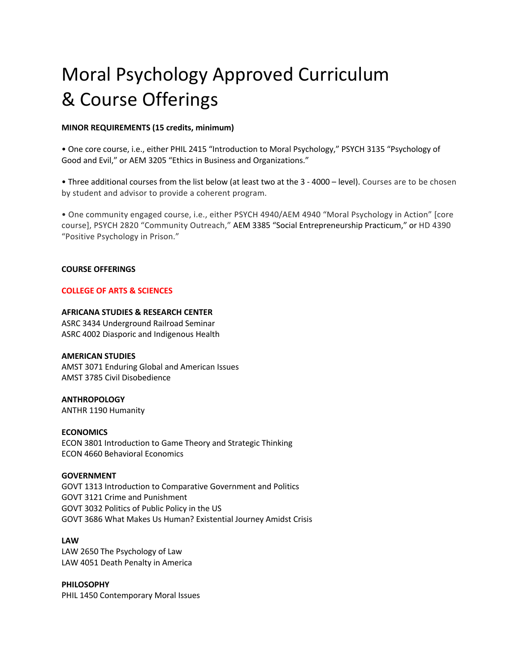# Moral Psychology Approved Curriculum & Course Offerings

## **MINOR REQUIREMENTS (15 credits, minimum)**

• One core course, i.e., either PHIL 2415 "Introduction to Moral Psychology," PSYCH 3135 "Psychology of Good and Evil," or AEM 3205 "Ethics in Business and Organizations."

• Three additional courses from the list below (at least two at the 3 - 4000 – level). Courses are to be chosen by student and advisor to provide a coherent program.

• One community engaged course, i.e., either PSYCH 4940/AEM 4940 "Moral Psychology in Action" [core course], PSYCH 2820 "Community Outreach," AEM 3385 "Social Entrepreneurship Practicum," or HD 4390 "Positive Psychology in Prison."

#### **COURSE OFFERINGS**

# **COLLEGE OF ARTS & SCIENCES**

# **AFRICANA STUDIES & RESEARCH CENTER**

ASRC 3434 Underground Railroad Seminar ASRC 4002 Diasporic and Indigenous Health

#### **AMERICAN STUDIES**

AMST 3071 Enduring Global and American Issues AMST 3785 Civil Disobedience

**ANTHROPOLOGY**  ANTHR 1190 Humanity

**ECONOMICS** 

ECON 3801 Introduction to Game Theory and Strategic Thinking ECON 4660 Behavioral Economics

# **GOVERNMENT**

GOVT 1313 Introduction to Comparative Government and Politics GOVT 3121 Crime and Punishment GOVT 3032 Politics of Public Policy in the US GOVT 3686 What Makes Us Human? Existential Journey Amidst Crisis

# **LAW**

LAW 2650 The Psychology of Law LAW 4051 Death Penalty in America

**PHILOSOPHY**  PHIL 1450 Contemporary Moral Issues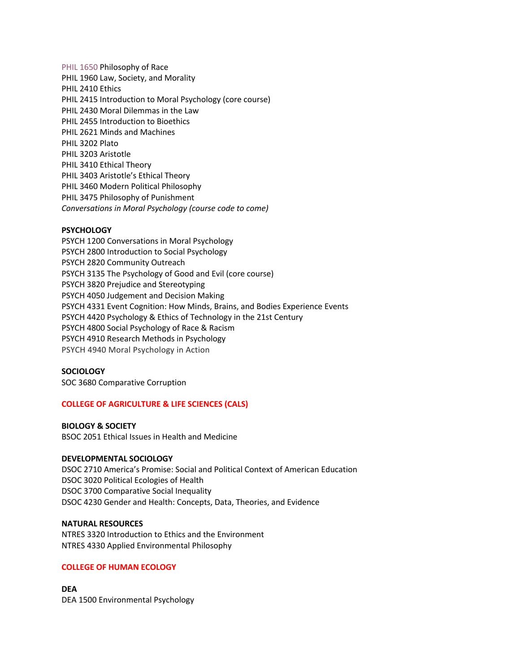PHIL 1650 Philosophy of Race PHIL 1960 Law, Society, and Morality PHIL 2410 Ethics PHIL 2415 Introduction to Moral Psychology (core course) PHIL 2430 Moral Dilemmas in the Law PHIL 2455 Introduction to Bioethics PHIL 2621 Minds and Machines PHIL 3202 Plato PHIL 3203 Aristotle PHIL 3410 Ethical Theory PHIL 3403 Aristotle's Ethical Theory PHIL 3460 Modern Political Philosophy PHIL 3475 Philosophy of Punishment *Conversations in Moral Psychology (course code to come)*

# **PSYCHOLOGY**

PSYCH 1200 Conversations in Moral Psychology PSYCH 2800 Introduction to Social Psychology PSYCH 2820 Community Outreach PSYCH 3135 The Psychology of Good and Evil (core course) PSYCH 3820 Prejudice and Stereotyping PSYCH 4050 Judgement and Decision Making PSYCH 4331 Event Cognition: How Minds, Brains, and Bodies Experience Events PSYCH 4420 Psychology & Ethics of Technology in the 21st Century PSYCH 4800 Social Psychology of Race & Racism PSYCH 4910 Research Methods in Psychology PSYCH 4940 Moral Psychology in Action

#### **SOCIOLOGY**

SOC 3680 Comparative Corruption

#### **COLLEGE OF AGRICULTURE & LIFE SCIENCES (CALS)**

# **BIOLOGY & SOCIETY**

BSOC 2051 Ethical Issues in Health and Medicine

# **DEVELOPMENTAL SOCIOLOGY**

DSOC 2710 America's Promise: Social and Political Context of American Education DSOC 3020 Political Ecologies of Health DSOC 3700 Comparative Social Inequality DSOC 4230 Gender and Health: Concepts, Data, Theories, and Evidence

#### **NATURAL RESOURCES**

NTRES 3320 Introduction to Ethics and the Environment NTRES 4330 Applied Environmental Philosophy

## **COLLEGE OF HUMAN ECOLOGY**

**DEA**  DEA 1500 Environmental Psychology